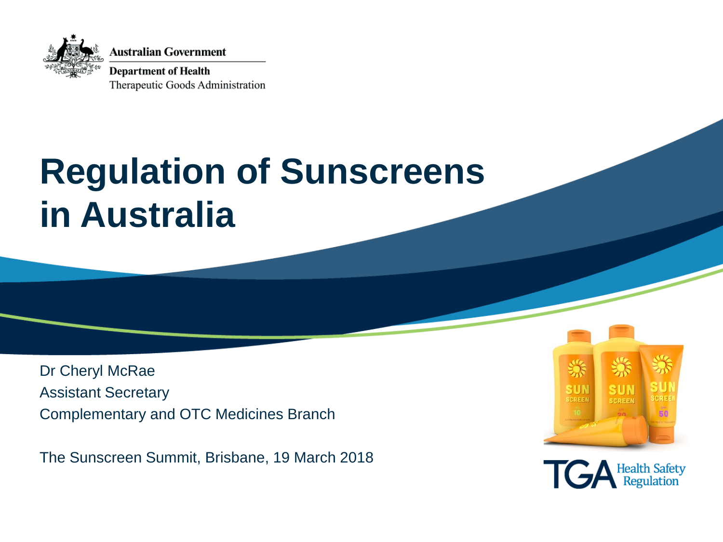

**Australian Government** 

**Department of Health** Therapeutic Goods Administration

## **Regulation of Sunscreens in Australia**

Dr Cheryl McRae Assistant Secretary Complementary and OTC Medicines Branch

The Sunscreen Summit, Brisbane, 19 March 2018



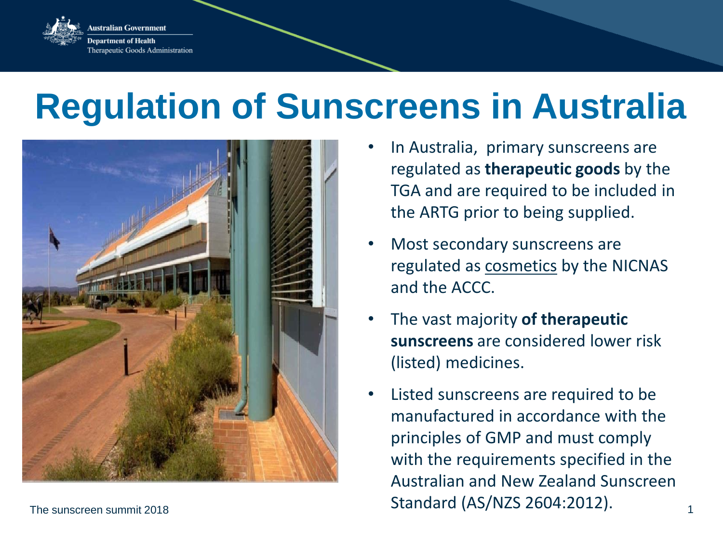

ustralian Government epartment of Health Therapeutic Goods Administration

## **Regulation of Sunscreens in Australia**



- In Australia, primary sunscreens are regulated as **therapeutic goods** by the TGA and are required to be included in the ARTG prior to being supplied.
- Most secondary sunscreens are regulated as cosmetics by the NICNAS and the ACCC.
- The vast majority **of therapeutic sunscreens** are considered lower risk (listed) medicines.
- The sunscreen summit 2018  $\frac{1}{1}$ Listed sunscreens are required to be manufactured in accordance with the principles of GMP and must comply with the requirements specified in the Australian and New Zealand Sunscreen Standard (AS/NZS 2604:2012).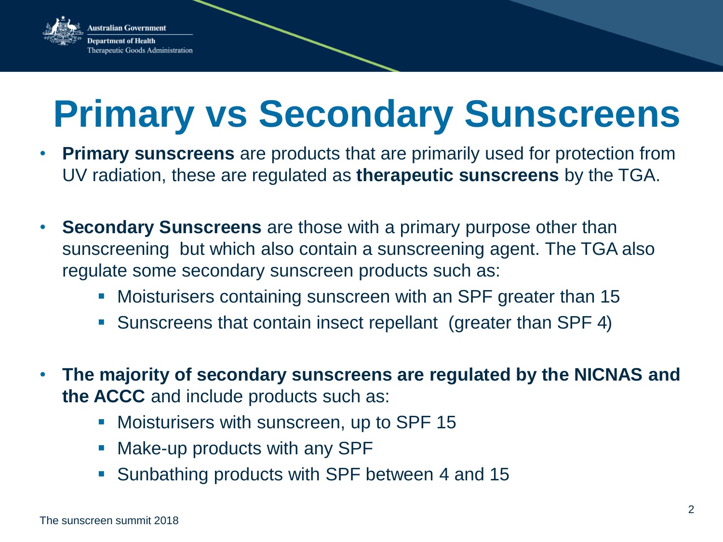

# **Primary vs Secondary Sunscreens**

- **Primary sunscreens** are products that are primarily used for protection from UV radiation, these are regulated as **therapeutic sunscreens** by the TGA.
- **Secondary Sunscreens** are those with a primary purpose other than sunscreening but which also contain a sunscreening agent. The TGA also regulate some secondary sunscreen products such as:
	- **Moisturisers containing sunscreen with an SPF greater than 15**
	- Sunscreens that contain insect repellant (greater than SPF 4)
- **The majority of secondary sunscreens are regulated by the NICNAS and the ACCC** and include products such as:
	- **Moisturisers with sunscreen, up to SPF 15**
	- Make-up products with any SPF
	- Sunbathing products with SPF between 4 and 15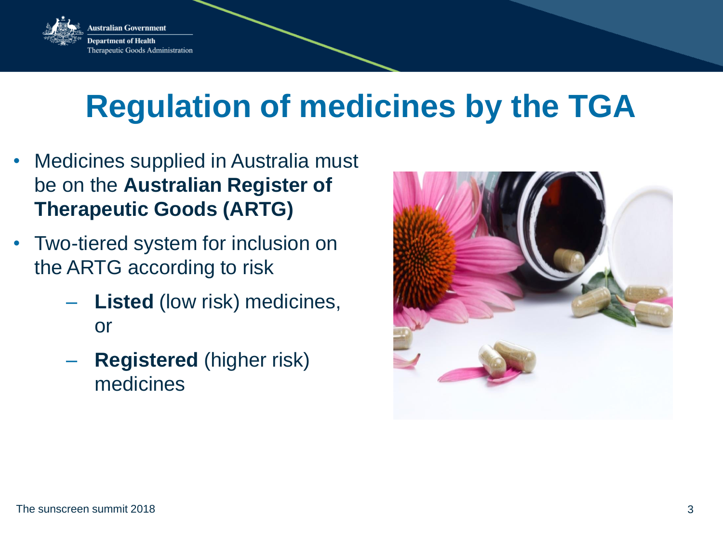

## **Regulation of medicines by the TGA**

- Medicines supplied in Australia must be on the **Australian Register of Therapeutic Goods (ARTG)**
- Two-tiered system for inclusion on the ARTG according to risk
	- **Listed** (low risk) medicines, or
	- **Registered** (higher risk) medicines

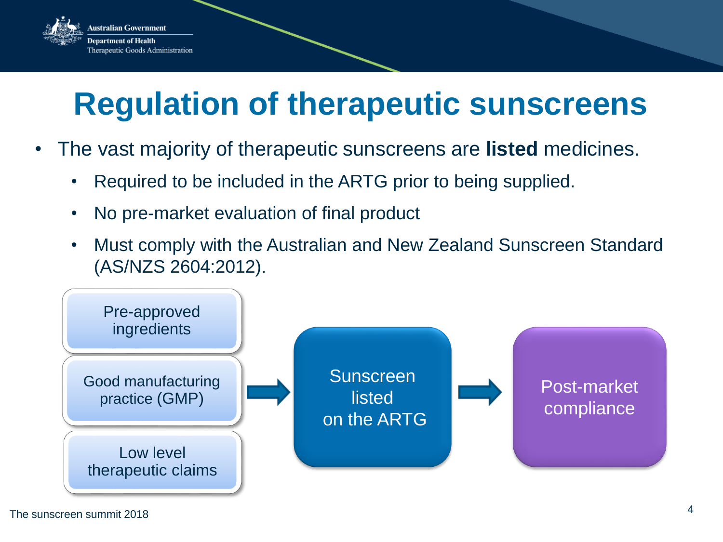

## **Regulation of therapeutic sunscreens**

- The vast majority of therapeutic sunscreens are **listed** medicines.
	- Required to be included in the ARTG prior to being supplied.
	- No pre-market evaluation of final product
	- Must comply with the Australian and New Zealand Sunscreen Standard (AS/NZS 2604:2012).

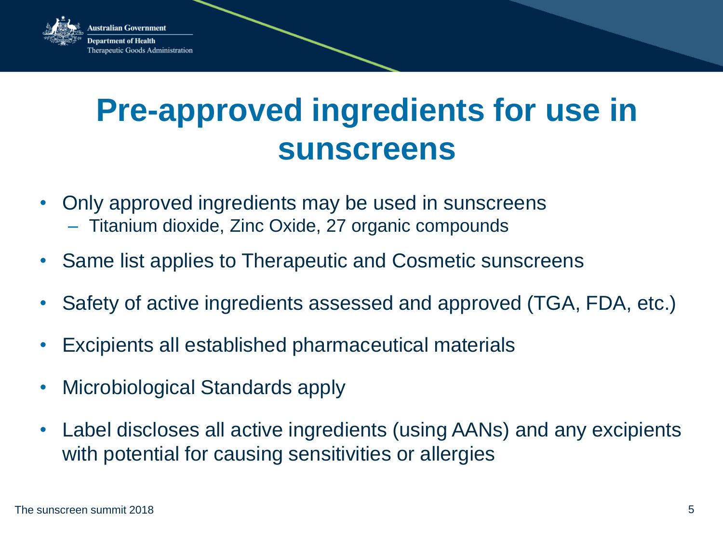

### **Pre-approved ingredients for use in sunscreens**

- Only approved ingredients may be used in sunscreens – Titanium dioxide, Zinc Oxide, 27 organic compounds
- Same list applies to Therapeutic and Cosmetic sunscreens
- Safety of active ingredients assessed and approved (TGA, FDA, etc.)
- Excipients all established pharmaceutical materials
- Microbiological Standards apply
- Label discloses all active ingredients (using AANs) and any excipients with potential for causing sensitivities or allergies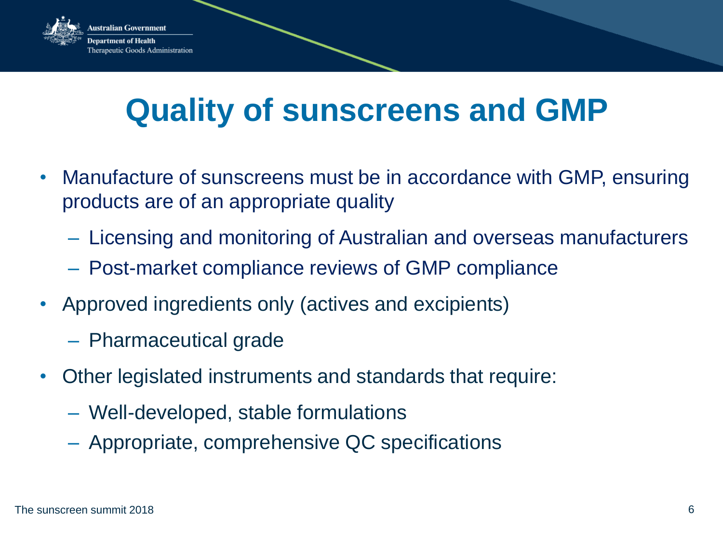

## **Quality of sunscreens and GMP**

- Manufacture of sunscreens must be in accordance with GMP, ensuring products are of an appropriate quality
	- Licensing and monitoring of Australian and overseas manufacturers
	- Post-market compliance reviews of GMP compliance
- Approved ingredients only (actives and excipients)
	- Pharmaceutical grade
- Other legislated instruments and standards that require:
	- Well-developed, stable formulations
	- Appropriate, comprehensive QC specifications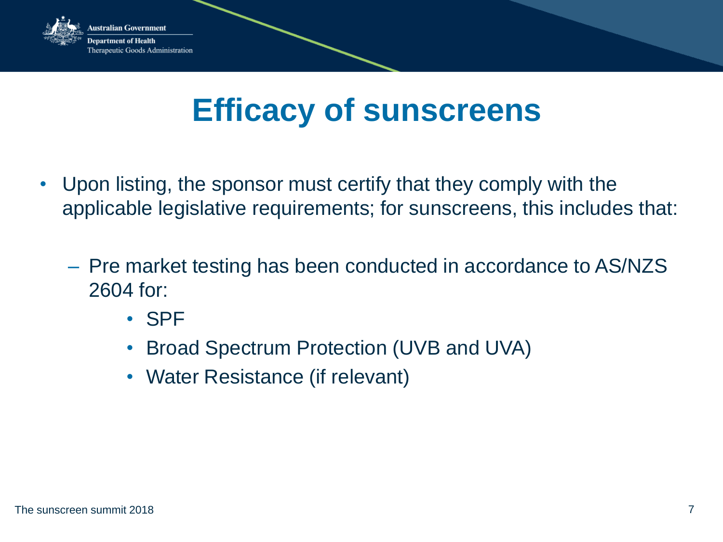

### **Efficacy of sunscreens**

- Upon listing, the sponsor must certify that they comply with the applicable legislative requirements; for sunscreens, this includes that:
	- Pre market testing has been conducted in accordance to AS/NZS 2604 for:
		- SPF
		- Broad Spectrum Protection (UVB and UVA)
		- Water Resistance (if relevant)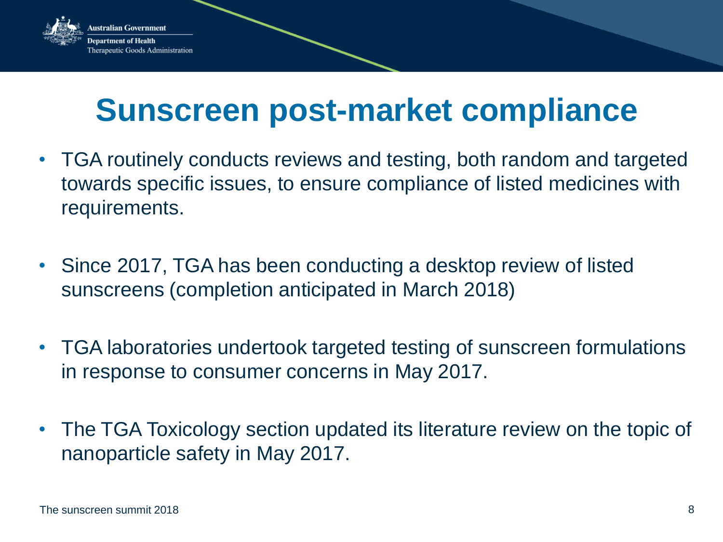

### **Sunscreen post-market compliance**

- TGA routinely conducts reviews and testing, both random and targeted towards specific issues, to ensure compliance of listed medicines with requirements.
- Since 2017, TGA has been conducting a desktop review of listed sunscreens (completion anticipated in March 2018)
- TGA laboratories undertook targeted testing of sunscreen formulations in response to consumer concerns in May 2017.
- The TGA Toxicology section updated its literature review on the topic of nanoparticle safety in May 2017.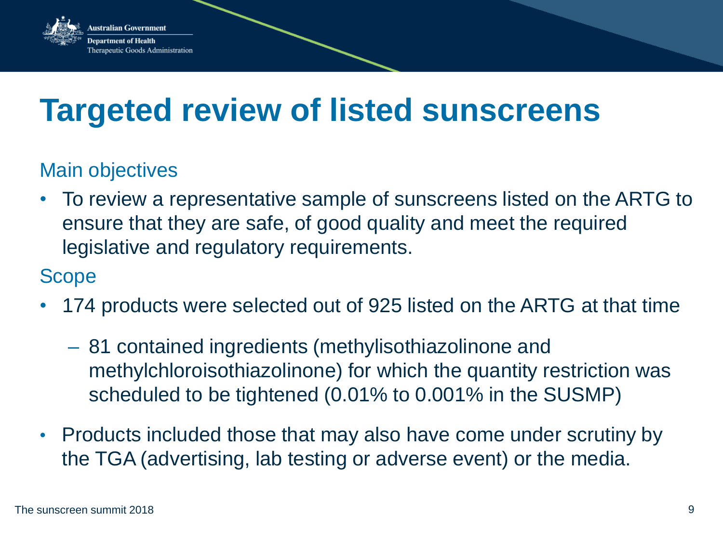

### **Targeted review of listed sunscreens**

#### Main objectives

• To review a representative sample of sunscreens listed on the ARTG to ensure that they are safe, of good quality and meet the required legislative and regulatory requirements.

#### Scope

- 174 products were selected out of 925 listed on the ARTG at that time
	- 81 contained ingredients (methylisothiazolinone and methylchloroisothiazolinone) for which the quantity restriction was scheduled to be tightened (0.01% to 0.001% in the SUSMP)
- Products included those that may also have come under scrutiny by the TGA (advertising, lab testing or adverse event) or the media.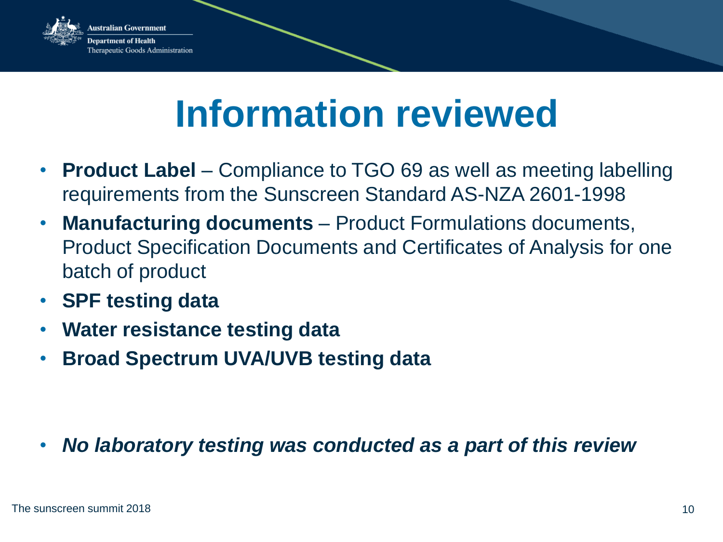

stralian Government rtment of Health Therapeutic Goods Administration

# **Information reviewed**

- **Product Label** Compliance to TGO 69 as well as meeting labelling requirements from the Sunscreen Standard AS-NZA 2601-1998
- **Manufacturing documents**  Product Formulations documents, Product Specification Documents and Certificates of Analysis for one batch of product
- **SPF testing data**
- **Water resistance testing data**
- **Broad Spectrum UVA/UVB testing data**

• *No laboratory testing was conducted as a part of this review*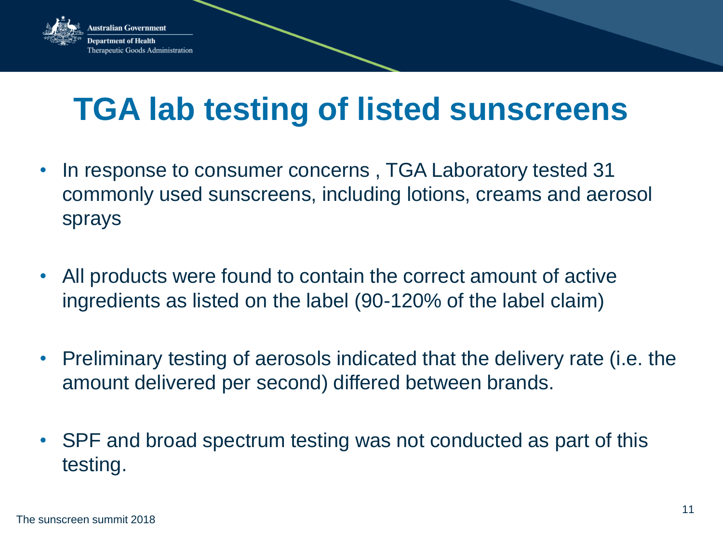

## **TGA lab testing of listed sunscreens**

- In response to consumer concerns , TGA Laboratory tested 31 commonly used sunscreens, including lotions, creams and aerosol sprays
- All products were found to contain the correct amount of active ingredients as listed on the label (90-120% of the label claim)
- Preliminary testing of aerosols indicated that the delivery rate (i.e. the amount delivered per second) differed between brands.
- SPF and broad spectrum testing was not conducted as part of this testing.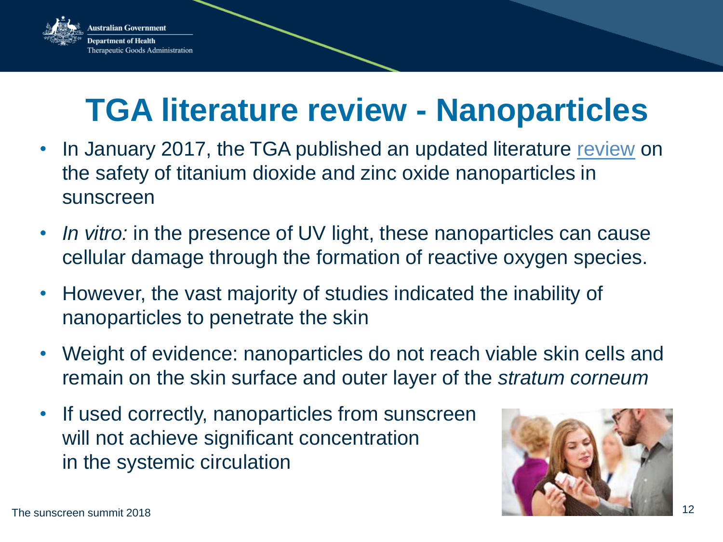

## **TGA literature review - Nanoparticles**

- In January 2017, the TGA published an updated literature [review](https://www.tga.gov.au/literature-review-safety-titanium-dioxide-and-zinc-oxide-nanoparticles-sunscreens) on the safety of titanium dioxide and zinc oxide nanoparticles in sunscreen
- *In vitro:* in the presence of UV light, these nanoparticles can cause cellular damage through the formation of reactive oxygen species.
- However, the vast majority of studies indicated the inability of nanoparticles to penetrate the skin
- Weight of evidence: nanoparticles do not reach viable skin cells and remain on the skin surface and outer layer of the *stratum corneum*
- If used correctly, nanoparticles from sunscreen will not achieve significant concentration in the systemic circulation

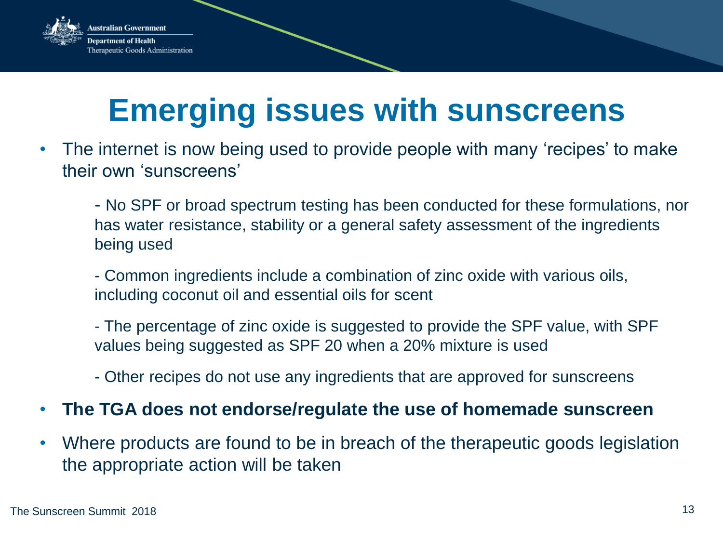

## **Emerging issues with sunscreens**

- The internet is now being used to provide people with many 'recipes' to make their own 'sunscreens'
	- No SPF or broad spectrum testing has been conducted for these formulations, nor has water resistance, stability or a general safety assessment of the ingredients being used
	- Common ingredients include a combination of zinc oxide with various oils, including coconut oil and essential oils for scent
	- The percentage of zinc oxide is suggested to provide the SPF value, with SPF values being suggested as SPF 20 when a 20% mixture is used
	- Other recipes do not use any ingredients that are approved for sunscreens
- **The TGA does not endorse/regulate the use of homemade sunscreen**
- Where products are found to be in breach of the therapeutic goods legislation the appropriate action will be taken